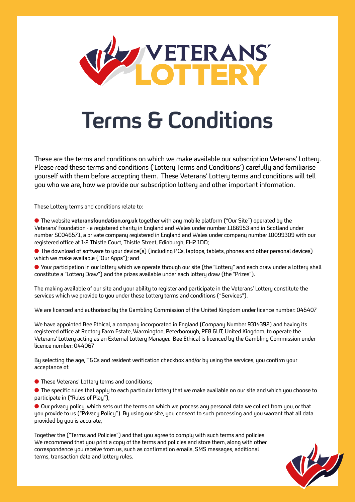

# **Terms & Conditions**

These are the terms and conditions on which we make available our subscription Veterans' Lottery. Please read these terms and conditions ('Lottery Terms and Conditions') carefully and familiarise yourself with them before accepting them. These Veterans' Lottery terms and conditions will tell you who we are, how we provide our subscription lottery and other important information.

These Lottery terms and conditions relate to:

l The website **veteransfoundation.org.uk** together with any mobile platform ("Our Site") operated by the Veterans' Foundation - a registered charity in England and Wales under number 1166953 and in Scotland under number SC046571, a private company registered in England and Wales under company number 10099309 with our registered office at 1-2 Thistle Court, Thistle Street, Edinburgh, EH2 1DD;

l The download of software to your device(s) (including PCs, laptops, tablets, phones and other personal devices) which we make available ("Our Apps"); and

l Your participation in our lottery which we operate through our site (the "Lottery" and each draw under a lottery shall constitute a "Lottery Draw") and the prizes available under each lottery draw (the "Prizes").

The making available of our site and your ability to register and participate in the Veterans' Lottery constitute the services which we provide to you under these Lottery terms and conditions ("Services").

We are licenced and authorised by the Gambling Commission of the United Kingdom under licence number: 045407

We have appointed Bee Ethical, a company incorporated in England (Company Number 9314392) and having its registered office at Rectory Farm Estate, Warmington, Peterborough, PE8 6UT, United Kingdom, to operate the Veterans' Lottery acting as an External Lottery Manager. Bee Ethical is licenced by the Gambling Commission under licence number: 044067

By selecting the age, T&Cs and resident verification checkbox and/or by using the services, you confirm your acceptance of:

l These Veterans' Lottery terms and conditions;

l The specific rules that apply to each particular lottery that we make available on our site and which you choose to participate in ("Rules of Play");

l Our privacy policy, which sets out the terms on which we process any personal data we collect from you, or that you provide to us ("Privacy Policy"). By using our site, you consent to such processing and you warrant that all data provided by you is accurate,

Together the ("Terms and Policies") and that you agree to comply with such terms and policies. We recommend that you print a copy of the terms and policies and store them, along with other correspondence you receive from us, such as confirmation emails, SMS messages, additional terms, transaction data and lottery rules.

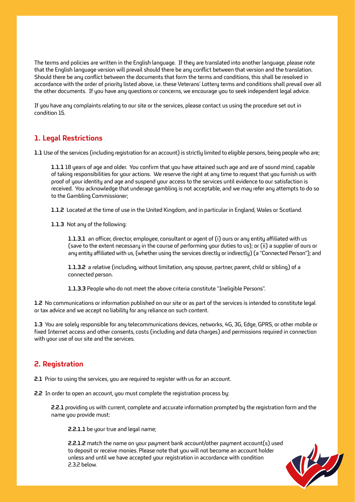The terms and policies are written in the English language. If they are translated into another language, please note that the English language version will prevail should there be any conflict between that version and the translation. Should there be any conflict between the documents that form the terms and conditions, this shall be resolved in accordance with the order of priority listed above, i.e. these Veterans' Lottery terms and conditions shall prevail over all the other documents. If you have any questions or concerns, we encourage you to seek independent legal advice.

If you have any complaints relating to our site or the services, please contact us using the procedure set out in condition 15.

## **1. Legal Restrictions**

**1.1** Use of the services (including registration for an account) is strictly limited to eligible persons, being people who are;

**1.1.1** 18 years of age and older. You confirm that you have attained such age and are of sound mind, capable of taking responsibilities for your actions. We reserve the right at any time to request that you furnish us with proof of your identity and age and suspend your access to the services until evidence to our satisfaction is received. You acknowledge that underage gambling is not acceptable, and we may refer any attempts to do so to the Gambling Commissioner;

**1.1.2** Located at the time of use in the United Kingdom, and in particular in England, Wales or Scotland.

**1.1.3** Not any of the following:

**1.1.3.1** an officer, director, employee, consultant or agent of (i) ours or any entity affiliated with us (save to the extent necessary in the course of performing your duties to us); or (ii) a supplier of ours or any entity affiliated with us, (whether using the services directly or indirectly) (a "Connected Person"); and

**1.1.3.2** a relative (including, without limitation, any spouse, partner, parent, child or sibling) of a connected person.

**1.1.3.3** People who do not meet the above criteria constitute "Ineligible Persons".

**1.2** No communications or information published on our site or as part of the services is intended to constitute legal or tax advice and we accept no liability for any reliance on such content.

**1.3** You are solely responsible for any telecommunications devices, networks, 4G, 3G, Edge, GPRS, or other mobile or fixed Internet access and other consents, costs (including and data charges) and permissions required in connection with your use of our site and the services.

## **2. Registration**

**2.1** Prior to using the services, you are required to register with us for an account.

**2.2** In order to open an account, you must complete the registration process by:

**2.2.1** providing us with current, complete and accurate information prompted by the registration form and the name you provide must:

**2.2.1.1** be your true and legal name:

**2.2.1.2** match the name on your payment bank account/other payment account(s) used to deposit or receive monies. Please note that you will not become an account holder unless and until we have accepted your registration in accordance with condition 2.3.2 below.

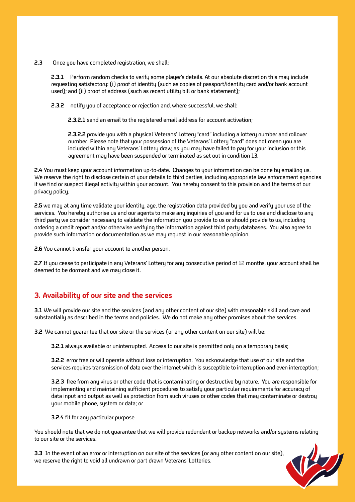**2.3** Once you have completed registration, we shall:

**2.3.1** Perform random checks to verify some player's details. At our absolute discretion this may include requesting satisfactory: (i) proof of identity (such as copies of passport/identity card and/or bank account used); and (ii) proof of address (such as recent utility bill or bank statement);

**2.3.2** notify you of acceptance or rejection and, where successful, we shall:

**2.3.2.1** send an email to the registered email address for account activation;

**2.3.2.2** provide you with a physical Veterans' Lottery "card" including a lottery number and rollover number. Please note that your possession of the Veterans' Lottery "card" does not mean you are included within any Veterans' Lottery draw, as you may have failed to pay for your inclusion or this agreement may have been suspended or terminated as set out in condition 13.

**2.4** You must keep your account information up-to-date. Changes to your information can be done by emailing us. We reserve the right to disclose certain of your details to third parties, including appropriate law enforcement agencies if we find or suspect illegal activity within your account. You hereby consent to this provision and the terms of our privacy policy.

**2.5** we may at any time validate your identity, age, the registration data provided by you and verify your use of the services. You hereby authorise us and our agents to make any inquiries of you and for us to use and disclose to any third party we consider necessary to validate the information you provide to us or should provide to us, including ordering a credit report and/or otherwise verifying the information against third party databases. You also agree to provide such information or documentation as we may request in our reasonable opinion.

**2.6** You cannot transfer your account to another person.

**2.7** If you cease to participate in any Veterans' Lottery for any consecutive period of 12 months, your account shall be deemed to be dormant and we may close it.

## **3. Availability of our site and the services**

**3.1** We will provide our site and the services (and any other content of our site) with reasonable skill and care and substantially as described in the terms and policies. We do not make any other promises about the services.

**3.2** We cannot guarantee that our site or the services (or any other content on our site) will be:

**3.2.1** always available or uninterrupted. Access to our site is permitted only on a temporary basis;

**3.2.2** error free or will operate without loss or interruption. You acknowledge that use of our site and the services requires transmission of data over the internet which is susceptible to interruption and even interception;

**3.2.3** free from any virus or other code that is contaminating or destructive by nature. You are responsible for implementing and maintaining sufficient procedures to satisfy your particular requirements for accuracy of data input and output as well as protection from such viruses or other codes that may contaminate or destroy your mobile phone, system or data; or

**3.2.4** fit for any particular purpose.

You should note that we do not guarantee that we will provide redundant or backup networks and/or systems relating to our site or the services.

**3.3** In the event of an error or interruption on our site of the services (or any other content on our site), we reserve the right to void all undrawn or part drawn Veterans' Lotteries.

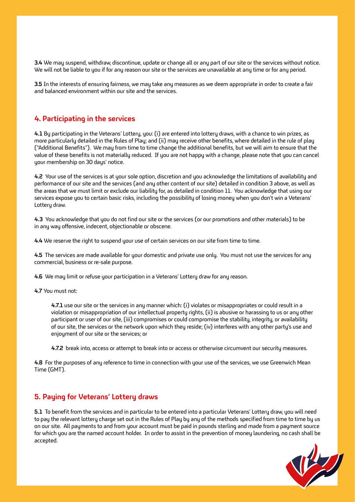**3.4** We may suspend, withdraw, discontinue, update or change all or any part of our site or the services without notice. We will not be liable to you if for any reason our site or the services are unavailable at any time or for any period.

**3.5** In the interests of ensuring fairness, we may take any measures as we deem appropriate in order to create a fair and balanced environment within our site and the services.

## **4. Participating in the services**

**4.1** By participating in the Veterans' Lottery, you: (i) are entered into lottery draws, with a chance to win prizes, as more particularly detailed in the Rules of Play; and (ii) may receive other benefits, where detailed in the rule of play ("Additional Benefits"). We may from time to time change the additional benefits, but we will aim to ensure that the value of these benefits is not materially reduced. If you are not happy with a change, please note that you can cancel your membership on 30 days' notice.

**4.2** Your use of the services is at your sole option, discretion and you acknowledge the limitations of availability and performance of our site and the services (and any other content of our site) detailed in condition 3 above, as well as the areas that we must limit or exclude our liability for, as detailed in condition 11. You acknowledge that using our services expose you to certain basic risks, including the possibility of losing money when you don't win a Veterans' Lottery draw.

**4.3** You acknowledge that you do not find our site or the services (or our promotions and other materials) to be in any way offensive, indecent, objectionable or obscene.

**4.4** We reserve the right to suspend your use of certain services on our site from time to time.

**4.5** The services are made available for your domestic and private use only. You must not use the services for any commercial, business or re-sale purpose.

**4.6** We may limit or refuse your participation in a Veterans' Lottery draw for any reason.

**4.7** You must not:

**4.7.1** use our site or the services in any manner which: (i) violates or misappropriates or could result in a violation or misappropriation of our intellectual property rights, (ii) is abusive or harassing to us or any other participant or user of our site, (iii) compromises or could compromise the stability, integrity, or availability of our site, the services or the network upon which they reside; (iv) interferes with any other party's use and enjoyment of our site or the services; or

**4.7.2** break into, access or attempt to break into or access or otherwise circumvent our security measures.

**4.8** For the purposes of any reference to time in connection with your use of the services, we use Greenwich Mean Time (GMT).

#### **5. Paying for Veterans' Lottery draws**

**5.1** To benefit from the services and in particular to be entered into a particular Veterans' Lottery draw, you will need to pay the relevant lottery charge set out in the Rules of Play by any of the methods specified from time to time by us on our site. All payments to and from your account must be paid in pounds sterling and made from a payment source for which you are the named account holder. In order to assist in the prevention of money laundering, no cash shall be accepted.

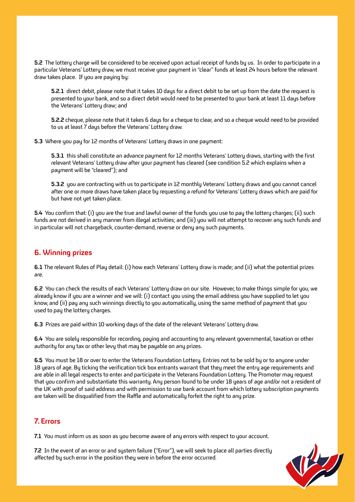**5.2** The lottery charge will be considered to be received upon actual receipt of funds by us. In order to participate in a particular Veterans' Lottery draw, we must receive your payment in "clear" funds at least 24 hours before the relevant draw takes place. If you are paying by:

**5.2.1** direct debit, please note that it takes 10 days for a direct debit to be set up from the date the request is presented to your bank, and so a direct debit would need to be presented to your bank at least 11 days before the Veterans' Lottery draw; and

**5.2.2** cheque, please note that it takes 6 days for a cheque to clear, and so a cheque would need to be provided to us at least 7 days before the Veterans' Lottery draw.

**5.3** Where you pay for 12 months of Veterans' Lottery draws in one payment:

**5.3.1** this shall constitute an advance payment for 12 months Veterans' Lottery draws, starting with the first relevant Veterans' Lottery draw after your payment has cleared (see condition 5.2 which explains when a payment will be "cleared"); and

**5.3.2** you are contracting with us to participate in 12 monthly Veterans' Lottery draws and you cannot cancel after one or more draws have taken place by requesting a refund for Veterans' Lottery draws which are paid for but have not yet taken place.

**5.4** You confirm that: (i) you are the true and lawful owner of the funds you use to pay the lottery charges; (ii) such funds are not derived in any manner from illegal activities; and (iii) you will not attempt to recover any such funds and in particular will not chargeback, counter-demand, reverse or deny any such payments.

## **6. Winning prizes**

**6.1** The relevant Rules of Play detail: (i) how each Veterans' Lottery draw is made; and (ii) what the potential prizes are.

**6.2** You can check the results of each Veterans' Lottery draw on our site. However, to make things simple for you, we already know if you are a winner and we will: (i) contact you using the email address you have supplied to let you know, and (ii) pay any such winnings directly to you automatically, using the same method of payment that you used to pay the lottery charges.

**6.3** Prizes are paid within 10 working days of the date of the relevant Veterans' Lottery draw.

**6.4** You are solely responsible for recording, paying and accounting to any relevant governmental, taxation or other authority for any tax or other levy that may be payable on any prizes.

**6.5** You must be 18 or over to enter the Veterans Foundation Lottery. Entries not to be sold by or to anyone under 18 years of age. By ticking the verification tick box entrants warrant that they meet the entry age requirements and are able in all legal respects to enter and participate in the Veterans Foundation Lottery. The Promoter may request that you confirm and substantiate this warranty. Any person found to be under 18 years of age and/or not a resident of the UK with proof of said address and with permission to use bank account from which lottery subscription payments are taken will be disqualified from the Raffle and automatically forfeit the right to any prize.

## **7. Errors**

**7.1** You must inform us as soon as you become aware of any errors with respect to your account.

**7.2** In the event of an error or and system failure ("Error"), we will seek to place all parties directly affected by such error in the position they were in before the error occurred.

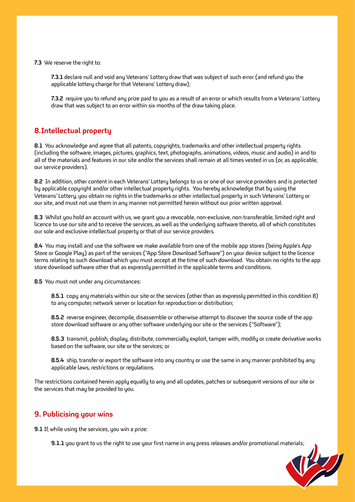**7.3** We reserve the right to:

**7.3.1** declare null and void any Veterans' Lottery draw that was subject of such error (and refund you the applicable lottery charge for that Veterans' Lottery draw);

**7.3.2** require you to refund any prize paid to you as a result of an error or which results from a Veterans' Lottery draw that was subject to an error within six months of the draw taking place.

## **8.Intellectual property**

**8.1** You acknowledge and agree that all patents, copurights, trademarks and other intellectual property rights (including the software, images, pictures, graphics, text, photographs, animations, videos, music and audio) in and to all of the materials and features in our site and/or the services shall remain at all times vested in us (or, as applicable, our service providers).

**8.2** In addition, other content in each Veterans' Lottery belongs to us or one of our service providers and is protected by applicable copyright and/or other intellectual property rights. You hereby acknowledge that by using the Veterans' Lottery, you obtain no rights in the trademarks or other intellectual property in such Veterans' Lottery or our site, and must not use them in any manner not permitted herein without our prior written approval.

**8.3** Whilst you hold an account with us, we grant you a revocable, non-exclusive, non-transferable, limited right and licence to use our site and to receive the services, as well as the underlying software thereto, all of which constitutes our sole and exclusive intellectual property or that of our service providers.

**8.4** You may install and use the software we make available from one of the mobile app stores (being Apple's App Store or Google Play) as part of the services ("App Store Download Software") on your device subject to the licence terms relating to such download which you must accept at the time of such download. You obtain no rights to the app store download software other that as expressly permitted in the applicable terms and conditions.

**8.5** You must not under any circumstances:

**8.5.1** copy any materials within our site or the services (other than as expressly permitted in this condition 8) to any computer, network server or location for reproduction or distribution;

**8.5.2** reverse engineer, decompile, disassemble or otherwise attempt to discover the source code of the app store download software or any other software underlying our site or the services ("Software");

**8.5.3** transmit, publish, display, distribute, commercially exploit, tamper with, modify or create derivative works based on the software, our site or the services; or

**8.5.4** ship, transfer or export the software into any country or use the same in any manner prohibited by any applicable laws, restrictions or regulations.

The restrictions contained herein apply equally to any and all updates, patches or subsequent versions of our site or the services that may be provided to you.

#### **9. Publicising your wins**

**9.1** If, while using the services, you win a prize:

**9.1.1** you grant to us the right to use your first name in any press releases and/or promotional materials;

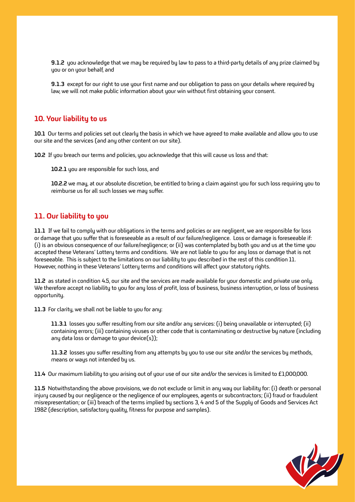**9.1.2** you acknowledge that we may be required by law to pass to a third-party details of any prize claimed by you or on your behalf, and

**9.1.3** except for our right to use your first name and our obligation to pass on your details where required by law, we will not make public information about your win without first obtaining your consent.

## **10. Your liability to us**

**10.1** Our terms and policies set out clearly the basis in which we have agreed to make available and allow you to use our site and the services (and any other content on our site).

**10.2** If you breach our terms and policies, you acknowledge that this will cause us loss and that:

10.2.1 you are responsible for such loss, and

**10.2.2** we may, at our absolute discretion, be entitled to bring a claim against you for such loss requiring you to reimburse us for all such losses we may suffer.

#### **11. Our liability to you**

**11.1** If we fail to comply with our obligations in the terms and policies or are negligent, we are responsible for loss or damage that you suffer that is foreseeable as a result of our failure/negligence. Loss or damage is foreseeable if: (i) is an obvious consequence of our failure/negligence; or (ii) was contemplated by both you and us at the time you accepted these Veterans' Lottery terms and conditions. We are not liable to you for any loss or damage that is not foreseeable. This is subject to the limitations on our liability to you described in the rest of this condition 11. However, nothing in these Veterans' Lottery terms and conditions will affect your statutory rights.

**11.2** as stated in condition 4.5, our site and the services are made available for your domestic and private use only. We therefore accept no liability to you for any loss of profit, loss of business, business interruption, or loss of business opportunity.

**11.3** For clarity, we shall not be liable to you for any:

**11.3.1** losses you suffer resulting from our site and/or any services: (i) being unavailable or interrupted; (ii) containing errors; (iii) containing viruses or other code that is contaminating or destructive by nature (including any data loss or damage to your device(s));

**11.3.2** losses you suffer resulting from any attempts by you to use our site and/or the services by methods, means or ways not intended by us.

**11.4** Our maximum liability to you arising out of your use of our site and/or the services is limited to £1,000,000.

**11.5** Notwithstanding the above provisions, we do not exclude or limit in any way our liability for: (i) death or personal injury caused by our negligence or the negligence of our employees, agents or subcontractors; (ii) fraud or fraudulent misrepresentation; or (iii) breach of the terms implied by sections 3, 4 and 5 of the Supply of Goods and Services Act 1982 (description, satisfactory quality, fitness for purpose and samples).

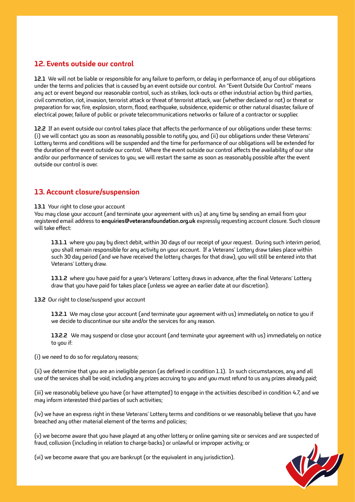## **12. Events outside our control**

**12.1** We will not be liable or responsible for any failure to perform, or delay in performance of, any of our obligations under the terms and policies that is caused by an event outside our control. An "Event Outside Our Control" means any act or event beyond our reasonable control, such as strikes, lock-outs or other industrial action by third parties, civil commotion, riot, invasion, terrorist attack or threat of terrorist attack, war (whether declared or not) or threat or preparation for war, fire, explosion, storm, flood, earthquake, subsidence, epidemic or other natural disaster, failure of electrical power, failure of public or private telecommunications networks or failure of a contractor or supplier.

**12.2** If an event outside our control takes place that affects the performance of our obligations under these terms: (i) we will contact you as soon as reasonably possible to notify you, and (ii) our obligations under these Veterans' Lottery terms and conditions will be suspended and the time for performance of our obligations will be extended for the duration of the event outside our control. Where the event outside our control affects the availability of our site and/or our performance of services to you, we will restart the same as soon as reasonably possible after the event outside our control is over.

## **13. Account closure/suspension**

#### 13.1 Your right to close your account

You may close your account (and terminate your agreement with us) at any time by sending an email from your registered email address to **enquiries@veteransfoundation.org.uk** expressly requesting account closure. Such closure will take effect:

13.1.1 where you pay by direct debit, within 30 days of our receipt of your request. During such interim period, you shall remain responsible for any activity on your account. If a Veterans' Lottery draw takes place within such 30 day period (and we have received the lottery charges for that draw), you will still be entered into that Veterans' Lottery draw.

**13.1.2** where you have paid for a year's Veterans' Lottery draws in advance, after the final Veterans' Lottery draw that you have paid for takes place (unless we agree an earlier date at our discretion).

**13.2** Our right to close/suspend your account

**13.2.1** We may close your account (and terminate your agreement with us) immediately on notice to you if we decide to discontinue our site and/or the services for any reason.

13.2.2 We may suspend or close your account (and terminate your agreement with us) immediately on notice to you if:

(i) we need to do so for regulatory reasons;

(ii) we determine that you are an ineligible person (as defined in condition 1.1). In such circumstances, any and all use of the services shall be void, including any prizes accruing to you and you must refund to us any prizes already paid;

(iii) we reasonably believe you have (or have attempted) to engage in the activities described in condition 4.7, and we may inform interested third parties of such activities;

(iv) we have an express right in these Veterans' Lottery terms and conditions or we reasonably believe that you have breached any other material element of the terms and policies;

(v) we become aware that you have played at any other lottery or online gaming site or services and are suspected of fraud, collusion (including in relation to charge-backs) or unlawful or improper activity; or

(vi) we become aware that you are bankrupt (or the equivalent in any jurisdiction).

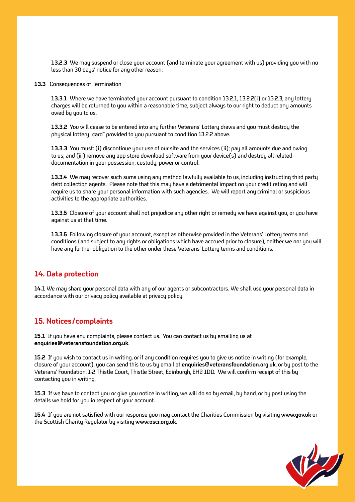**13.2.3** We may suspend or close your account (and terminate your agreement with us) providing you with no less than 30 days' notice for any other reason.

#### **13.3** Consequences of Termination

**13.3.1** Where we have terminated your account pursuant to condition 13.2.1, 13.2.2(i) or 13.2.3, any lottery charges will be returned to you within a reasonable time, subject always to our right to deduct any amounts owed by you to us.

**13.3.2** You will cease to be entered into any further Veterans' Lottery draws and you must destroy the physical lottery "card" provided to you pursuant to condition 13.2.2 above.

13.3.3 You must: (i) discontinue your use of our site and the services (ii); pay all amounts due and owing to us; and (iii) remove any app store download software from your device(s) and destroy all related documentation in your possession, custody, power or control.

**13.3.4** We may recover such sums using any method lawfully available to us, including instructing third party debt collection agents. Please note that this may have a detrimental impact on your credit rating and will require us to share your personal information with such agencies. We will report any criminal or suspicious activities to the appropriate authorities.

**13.3.5** Closure of your account shall not prejudice any other right or remedy we have against you, or you have against us at that time.

**13.3.6** Following closure of your account, except as otherwise provided in the Veterans' Lottery terms and conditions (and subject to any rights or obligations which have accrued prior to closure), neither we nor you will have any further obligation to the other under these Veterans' Lottery terms and conditions.

## **14. Data protection**

**14.1** We may share your personal data with any of our agents or subcontractors. We shall use your personal data in accordance with our privacy policy available at privacy policy.

## **15. Notices/complaints**

**15.1** If you have any complaints, please contact us. You can contact us by emailing us at **enquiries@veteransfoundation.org.uk**.

**15.2** If you wish to contact us in writing, or if any condition requires you to give us notice in writing (for example, closure of your account), you can send this to us by email at **enquiries@veteransfoundation.org.uk**, or by post to the Veterans' Foundation, 1-2 Thistle Court, Thistle Street, Edinburgh, EH2 1DD. We will confirm receipt of this by contacting you in writing.

**15.3** If we have to contact you or give you notice in writing, we will do so by email, by hand, or by post using the details we hold for you in respect of your account.

**15.4** If you are not satisfied with our response you may contact the Charities Commission by visiting **www.gov.uk** or the Scottish Charity Regulator by visiting **www.oscr.org.uk**.